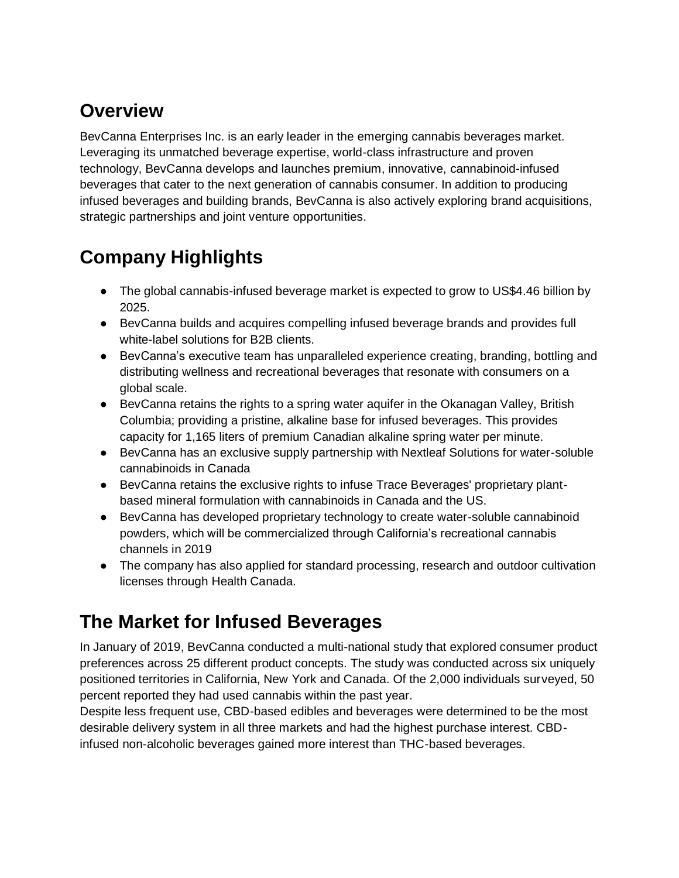### **Overview**

BevCanna Enterprises Inc. is an early leader in the emerging cannabis beverages market. Leveraging its unmatched beverage expertise, world-class infrastructure and proven technology, BevCanna develops and launches premium, innovative, cannabinoid-infused beverages that cater to the next generation of cannabis consumer. In addition to producing infused beverages and building brands, BevCanna is also actively exploring brand acquisitions, strategic partnerships and joint venture opportunities.

## **Company Highlights**

- The global cannabis-infused beverage market is expected to grow to US\$4.46 billion by 2025.
- BevCanna builds and acquires compelling infused beverage brands and provides full white-label solutions for B2B clients.
- BevCanna's executive team has unparalleled experience creating, branding, bottling and distributing wellness and recreational beverages that resonate with consumers on a global scale.
- BevCanna retains the rights to a spring water aquifer in the Okanagan Valley, British Columbia; providing a pristine, alkaline base for infused beverages. This provides capacity for 1,165 liters of premium Canadian alkaline spring water per minute.
- BevCanna has an exclusive supply partnership with Nextleaf Solutions for water-soluble cannabinoids in Canada
- BevCanna retains the exclusive rights to infuse Trace Beverages' proprietary plantbased mineral formulation with cannabinoids in Canada and the US.
- BevCanna has developed proprietary technology to create water-soluble cannabinoid powders, which will be commercialized through California's recreational cannabis channels in 2019
- The company has also applied for standard processing, research and outdoor cultivation licenses through Health Canada.

## **The Market for Infused Beverages**

In January of 2019, BevCanna conducted a multi-national study that explored consumer product preferences across 25 different product concepts. The study was conducted across six uniquely positioned territories in California, New York and Canada. Of the 2,000 individuals surveyed, 50 percent reported they had used cannabis within the past year.

Despite less frequent use, CBD-based edibles and beverages were determined to be the most desirable delivery system in all three markets and had the highest purchase interest. CBDinfused non-alcoholic beverages gained more interest than THC-based beverages.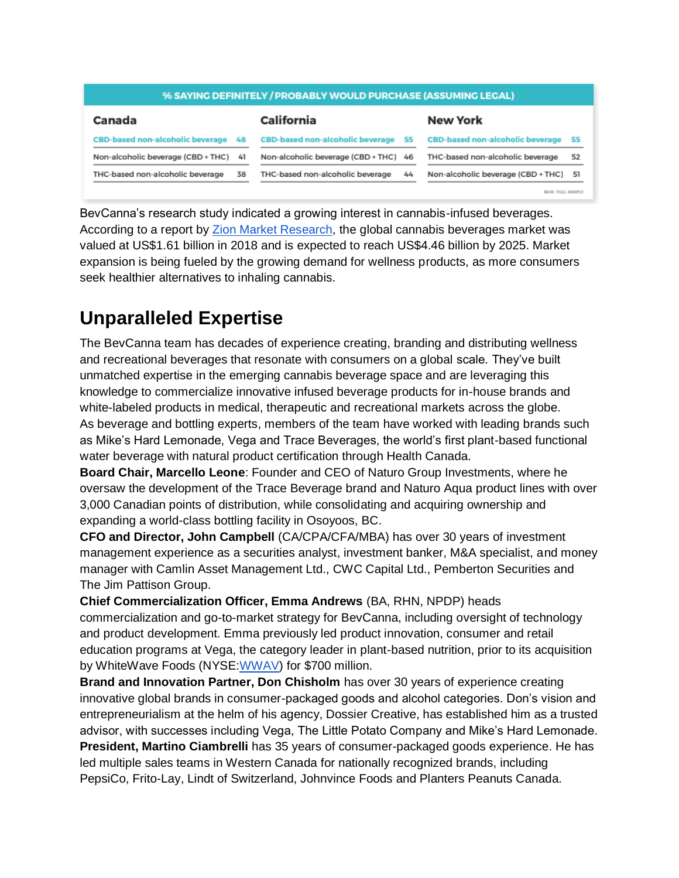#### % SAYING DEFINITELY / PROBABLY WOULD PURCHASE (ASSUMING LEGAL)

| <b>CBD-based non-alcoholic beverage 55</b> |    |                                         |                   |
|--------------------------------------------|----|-----------------------------------------|-------------------|
|                                            |    | <b>CBD-based non-alcoholic beverage</b> | 55                |
|                                            |    | THC-based non-alcoholic beverage        | 52                |
| THC-based non-alcoholic beverage           | 44 | Non-alcoholic beverage (CBD + THC) 51   |                   |
|                                            |    | Non-alcoholic beverage (CBD + THC) 46   | BASE: FULL SAMPLE |

BevCanna's research study indicated a growing interest in cannabis-infused beverages. According to a report by [Zion Market Research,](https://www.globenewswire.com/news-release/2019/02/14/1725129/0/en/Global-Cannabis-Beverages-Market-Will-Reach-USD-4-464-Million-By-2025-Zion-Market-Research.html) the global cannabis beverages market was valued at US\$1.61 billion in 2018 and is expected to reach US\$4.46 billion by 2025. Market expansion is being fueled by the growing demand for wellness products, as more consumers seek healthier alternatives to inhaling cannabis.

### **Unparalleled Expertise**

The BevCanna team has decades of experience creating, branding and distributing wellness and recreational beverages that resonate with consumers on a global scale. They've built unmatched expertise in the emerging cannabis beverage space and are leveraging this knowledge to commercialize innovative infused beverage products for in-house brands and white-labeled products in medical, therapeutic and recreational markets across the globe. As beverage and bottling experts, members of the team have worked with leading brands such as Mike's Hard Lemonade, Vega and Trace Beverages, the world's first plant-based functional water beverage with natural product certification through Health Canada.

**Board Chair, Marcello Leone**: Founder and CEO of Naturo Group Investments, where he oversaw the development of the Trace Beverage brand and Naturo Aqua product lines with over 3,000 Canadian points of distribution, while consolidating and acquiring ownership and expanding a world-class bottling facility in Osoyoos, BC.

**CFO and Director, John Campbell** (CA/CPA/CFA/MBA) has over 30 years of investment management experience as a securities analyst, investment banker, M&A specialist, and money manager with Camlin Asset Management Ltd., CWC Capital Ltd., Pemberton Securities and The Jim Pattison Group.

**Chief Commercialization Officer, Emma Andrews** (BA, RHN, NPDP) heads commercialization and go-to-market strategy for BevCanna, including oversight of technology and product development. Emma previously led product innovation, consumer and retail education programs at Vega, the category leader in plant-based nutrition, prior to its acquisition by WhiteWave Foods (NYSE: WWAV) for \$700 million.

**Brand and Innovation Partner, Don Chisholm** has over 30 years of experience creating innovative global brands in consumer-packaged goods and alcohol categories. Don's vision and entrepreneurialism at the helm of his agency, Dossier Creative, has established him as a trusted advisor, with successes including Vega, The Little Potato Company and Mike's Hard Lemonade. **President, Martino Ciambrelli** has 35 years of consumer-packaged goods experience. He has led multiple sales teams in Western Canada for nationally recognized brands, including PepsiCo, Frito-Lay, Lindt of Switzerland, Johnvince Foods and Planters Peanuts Canada.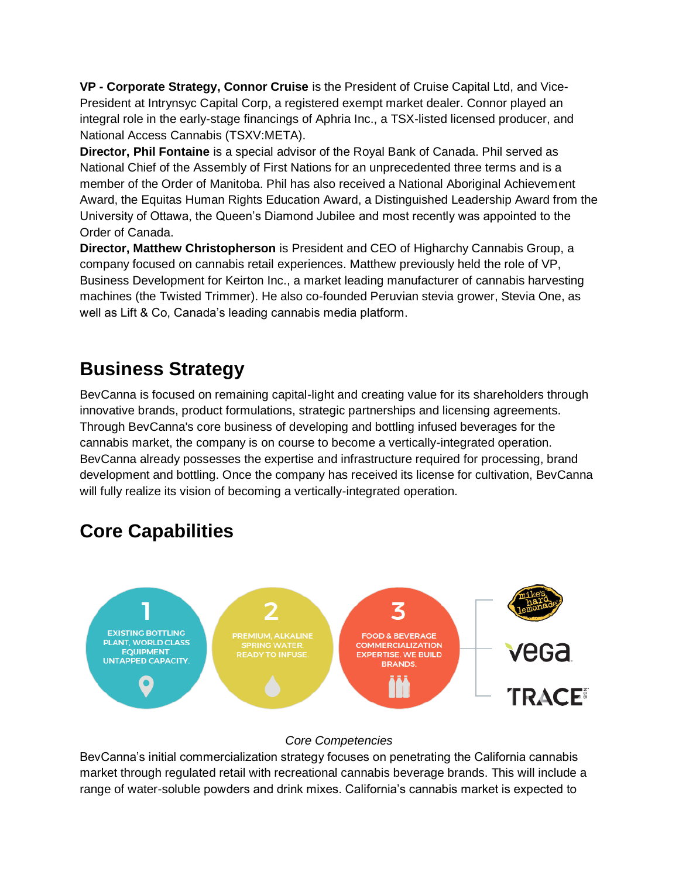**VP - Corporate Strategy, Connor Cruise** is the President of Cruise Capital Ltd, and Vice-President at Intrynsyc Capital Corp, a registered exempt market dealer. Connor played an integral role in the early-stage financings of Aphria Inc., a TSX-listed licensed producer, and National Access Cannabis (TSXV:META).

**Director, Phil Fontaine** is a special advisor of the Royal Bank of Canada. Phil served as National Chief of the Assembly of First Nations for an unprecedented three terms and is a member of the Order of Manitoba. Phil has also received a National Aboriginal Achievement Award, the Equitas Human Rights Education Award, a Distinguished Leadership Award from the University of Ottawa, the Queen's Diamond Jubilee and most recently was appointed to the Order of Canada.

**Director, Matthew Christopherson** is President and CEO of Higharchy Cannabis Group, a company focused on cannabis retail experiences. Matthew previously held the role of VP, Business Development for Keirton Inc., a market leading manufacturer of cannabis harvesting machines (the Twisted Trimmer). He also co-founded Peruvian stevia grower, Stevia One, as well as Lift & Co, Canada's leading cannabis media platform.

### **Business Strategy**

BevCanna is focused on remaining capital-light and creating value for its shareholders through innovative brands, product formulations, strategic partnerships and licensing agreements. Through BevCanna's core business of developing and bottling infused beverages for the cannabis market, the company is on course to become a vertically-integrated operation. BevCanna already possesses the expertise and infrastructure required for processing, brand development and bottling. Once the company has received its license for cultivation, BevCanna will fully realize its vision of becoming a vertically-integrated operation.

# **Core Capabilities**



### *Core Competencies*

BevCanna's initial commercialization strategy focuses on penetrating the California cannabis market through regulated retail with recreational cannabis beverage brands. This will include a range of water-soluble powders and drink mixes. California's cannabis market is expected to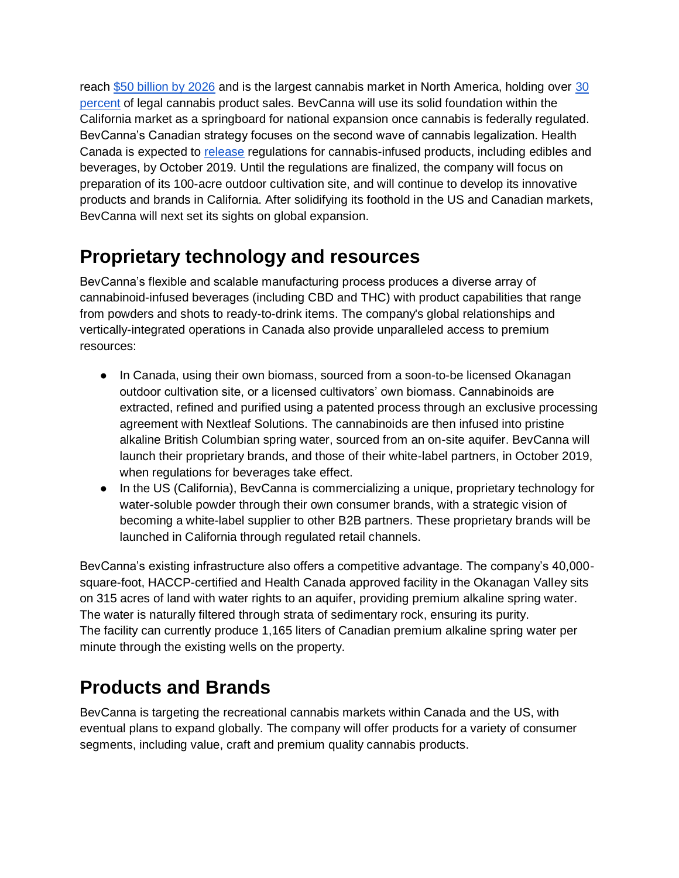reach [\\$50 billion by 2026](https://www.prnewswire.com/news-releases/california-cannabis-market-expected-to-reach-51-billion-market-value-685917412.html) and is the largest cannabis market in North America, holding over 30 [percent](https://www.businessinsider.com/legal-weed-market-to-hit-10-billion-in-sales-report-says-2017-12) of legal cannabis product sales. BevCanna will use its solid foundation within the California market as a springboard for national expansion once cannabis is federally regulated. BevCanna's Canadian strategy focuses on the second wave of cannabis legalization. Health Canada is expected to [release](https://www.cbc.ca/news/canada/ottawa/cannabis-legalization-second-wave-edibles-1.4901297) regulations for cannabis-infused products, including edibles and beverages, by October 2019. Until the regulations are finalized, the company will focus on preparation of its 100-acre outdoor cultivation site, and will continue to develop its innovative products and brands in California. After solidifying its foothold in the US and Canadian markets, BevCanna will next set its sights on global expansion.

### **Proprietary technology and resources**

BevCanna's flexible and scalable manufacturing process produces a diverse array of cannabinoid-infused beverages (including CBD and THC) with product capabilities that range from powders and shots to ready-to-drink items. The company's global relationships and vertically-integrated operations in Canada also provide unparalleled access to premium resources:

- In Canada, using their own biomass, sourced from a soon-to-be licensed Okanagan outdoor cultivation site, or a licensed cultivators' own biomass. Cannabinoids are extracted, refined and purified using a patented process through an exclusive processing agreement with Nextleaf Solutions. The cannabinoids are then infused into pristine alkaline British Columbian spring water, sourced from an on-site aquifer. BevCanna will launch their proprietary brands, and those of their white-label partners, in October 2019, when regulations for beverages take effect.
- In the US (California), BevCanna is commercializing a unique, proprietary technology for water-soluble powder through their own consumer brands, with a strategic vision of becoming a white-label supplier to other B2B partners. These proprietary brands will be launched in California through regulated retail channels.

BevCanna's existing infrastructure also offers a competitive advantage. The company's 40,000 square-foot, HACCP-certified and Health Canada approved facility in the Okanagan Valley sits on 315 acres of land with water rights to an aquifer, providing premium alkaline spring water. The water is naturally filtered through strata of sedimentary rock, ensuring its purity. The facility can currently produce 1,165 liters of Canadian premium alkaline spring water per minute through the existing wells on the property.

### **Products and Brands**

BevCanna is targeting the recreational cannabis markets within Canada and the US, with eventual plans to expand globally. The company will offer products for a variety of consumer segments, including value, craft and premium quality cannabis products.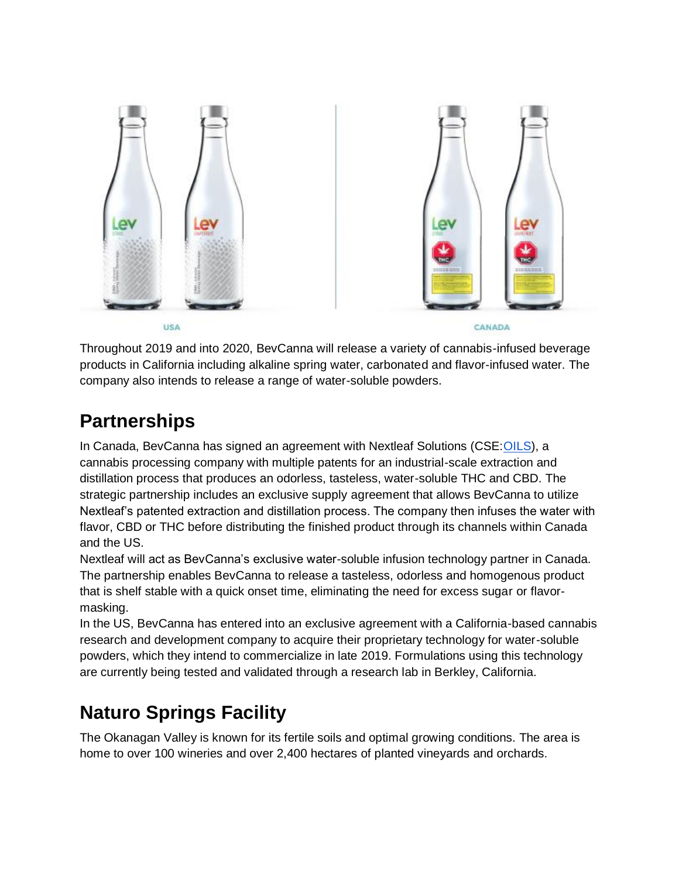

Throughout 2019 and into 2020, BevCanna will release a variety of cannabis-infused beverage products in California including alkaline spring water, carbonated and flavor-infused water. The company also intends to release a range of water-soluble powders.

### **Partnerships**

In Canada, BevCanna has signed an agreement with Nextleaf Solutions (CSE[:OILS\)](https://investingnews.com/stock-information/?symbol=oils:cc), a cannabis processing company with multiple patents for an industrial-scale extraction and distillation process that produces an odorless, tasteless, water-soluble THC and CBD. The strategic partnership includes an exclusive supply agreement that allows BevCanna to utilize Nextleaf's patented extraction and distillation process. The company then infuses the water with flavor, CBD or THC before distributing the finished product through its channels within Canada and the US.

Nextleaf will act as BevCanna's exclusive water-soluble infusion technology partner in Canada. The partnership enables BevCanna to release a tasteless, odorless and homogenous product that is shelf stable with a quick onset time, eliminating the need for excess sugar or flavormasking.

In the US, BevCanna has entered into an exclusive agreement with a California-based cannabis research and development company to acquire their proprietary technology for water-soluble powders, which they intend to commercialize in late 2019. Formulations using this technology are currently being tested and validated through a research lab in Berkley, California.

## **Naturo Springs Facility**

The Okanagan Valley is known for its fertile soils and optimal growing conditions. The area is home to over 100 wineries and over 2,400 hectares of planted vineyards and orchards.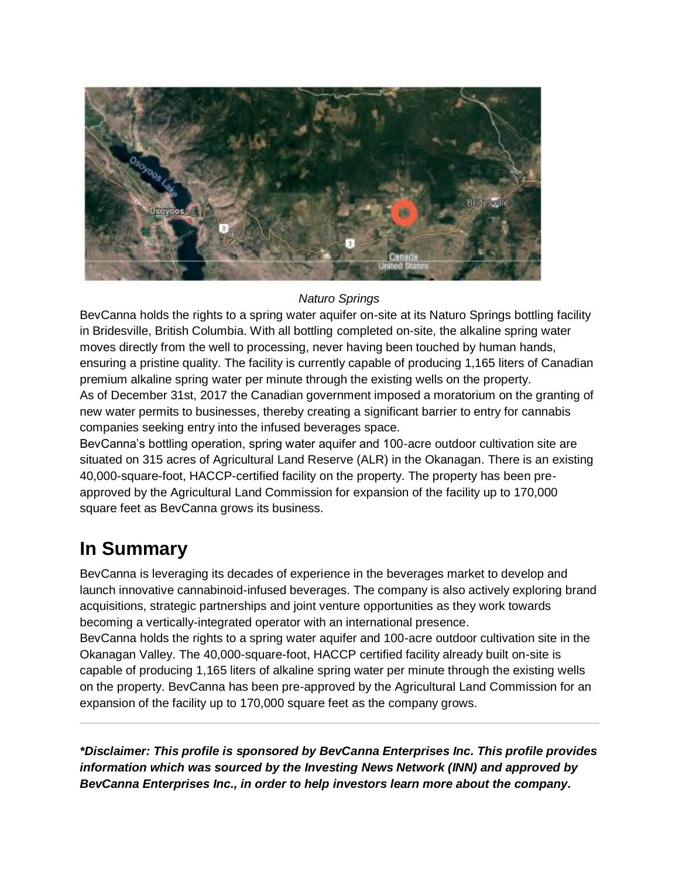

#### *Naturo Springs*

BevCanna holds the rights to a spring water aquifer on-site at its Naturo Springs bottling facility in Bridesville, British Columbia. With all bottling completed on-site, the alkaline spring water moves directly from the well to processing, never having been touched by human hands, ensuring a pristine quality. The facility is currently capable of producing 1,165 liters of Canadian premium alkaline spring water per minute through the existing wells on the property. As of December 31st, 2017 the Canadian government imposed a moratorium on the granting of new water permits to businesses, thereby creating a significant barrier to entry for cannabis companies seeking entry into the infused beverages space.

BevCanna's bottling operation, spring water aquifer and 100-acre outdoor cultivation site are situated on 315 acres of Agricultural Land Reserve (ALR) in the Okanagan. There is an existing 40,000-square-foot, HACCP-certified facility on the property. The property has been preapproved by the Agricultural Land Commission for expansion of the facility up to 170,000 square feet as BevCanna grows its business.

### **In Summary**

BevCanna is leveraging its decades of experience in the beverages market to develop and launch innovative cannabinoid-infused beverages. The company is also actively exploring brand acquisitions, strategic partnerships and joint venture opportunities as they work towards becoming a vertically-integrated operator with an international presence.

BevCanna holds the rights to a spring water aquifer and 100-acre outdoor cultivation site in the Okanagan Valley. The 40,000-square-foot, HACCP certified facility already built on-site is capable of producing 1,165 liters of alkaline spring water per minute through the existing wells on the property. BevCanna has been pre-approved by the Agricultural Land Commission for an expansion of the facility up to 170,000 square feet as the company grows.

*\*Disclaimer: This profile is sponsored by BevCanna Enterprises Inc. This profile provides information which was sourced by the Investing News Network (INN) and approved by BevCanna Enterprises Inc., in order to help investors learn more about the company.*